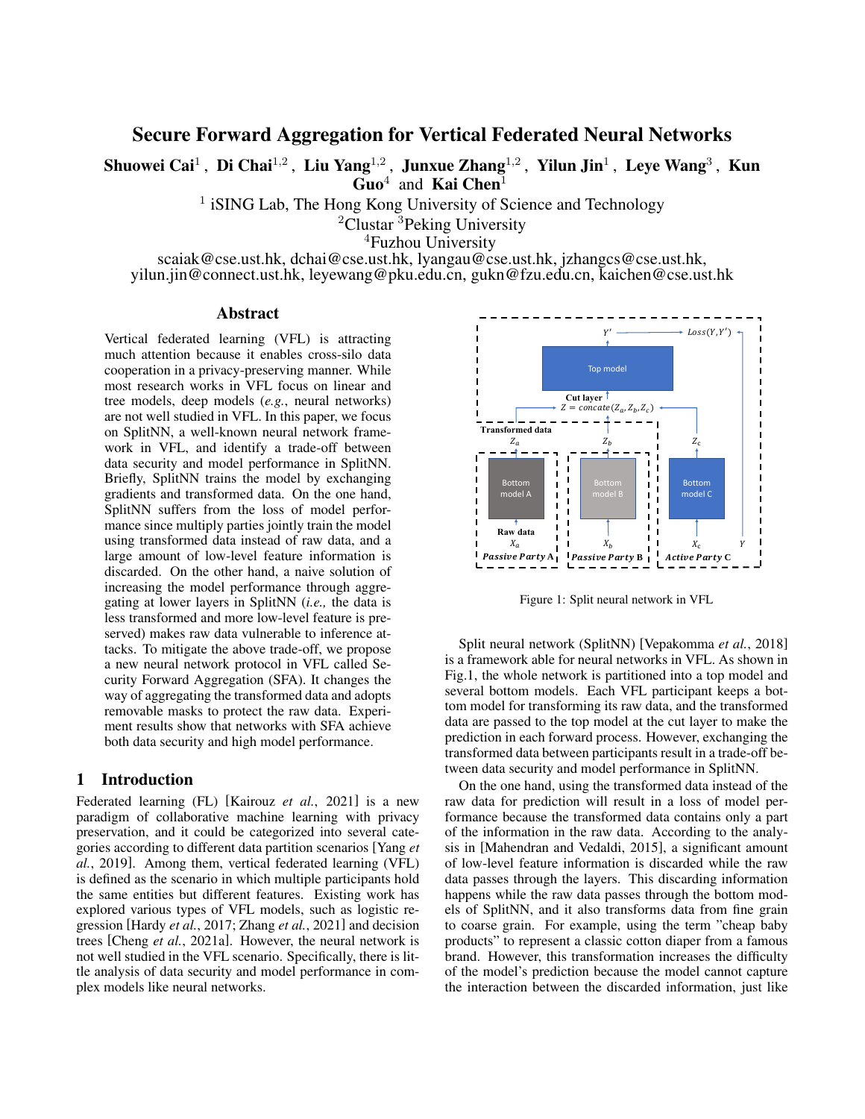Secure Forward Aggregation for Vertical Federated Neural Networks

Shuowei Cai $^1$  , Di Chai $^{1,2}$  , Liu Yang $^{1,2}$  , Junxue Zhang $^{1,2}$  , Yilun Jin $^1$  , Leye Wang $^3$  , Kun  $\tilde{Guo}^4$  and Kai Chen<sup>1</sup>

<sup>1</sup> iSING Lab, The Hong Kong University of Science and Technology

<sup>2</sup>Clustar <sup>3</sup>Peking University

<sup>4</sup>Fuzhou University

scaiak@cse.ust.hk, dchai@cse.ust.hk, lyangau@cse.ust.hk, jzhangcs@cse.ust.hk, yilun.jin@connect.ust.hk, leyewang@pku.edu.cn, gukn@fzu.edu.cn, kaichen@cse.ust.hk

#### Abstract

Vertical federated learning (VFL) is attracting much attention because it enables cross-silo data cooperation in a privacy-preserving manner. While most research works in VFL focus on linear and tree models, deep models (*e.g.*, neural networks) are not well studied in VFL. In this paper, we focus on SplitNN, a well-known neural network framework in VFL, and identify a trade-off between data security and model performance in SplitNN. Briefly, SplitNN trains the model by exchanging gradients and transformed data. On the one hand, SplitNN suffers from the loss of model performance since multiply parties jointly train the model using transformed data instead of raw data, and a large amount of low-level feature information is discarded. On the other hand, a naive solution of increasing the model performance through aggregating at lower layers in SplitNN (*i.e.,* the data is less transformed and more low-level feature is preserved) makes raw data vulnerable to inference attacks. To mitigate the above trade-off, we propose a new neural network protocol in VFL called Security Forward Aggregation (SFA). It changes the way of aggregating the transformed data and adopts removable masks to protect the raw data. Experiment results show that networks with SFA achieve both data security and high model performance.

### 1 Introduction

Federated learning (FL) [\[Kairouz](#page-6-0) *et al.*, 2021] is a new paradigm of collaborative machine learning with privacy preservation, and it could be categorized into several categories according to different data partition scenarios [\[Yang](#page-6-1) *et al.*[, 2019\]](#page-6-1). Among them, vertical federated learning (VFL) is defined as the scenario in which multiple participants hold the same entities but different features. Existing work has explored various types of VFL models, such as logistic regression [\[Hardy](#page-6-2) *et al.*, 2017; Zhang *et al.*[, 2021\]](#page-6-3) and decision trees [Cheng *et al.*[, 2021a\]](#page-6-4). However, the neural network is not well studied in the VFL scenario. Specifically, there is little analysis of data security and model performance in complex models like neural networks.

<span id="page-0-0"></span>

Figure 1: Split neural network in VFL

Split neural network (SplitNN) [\[Vepakomma](#page-6-5) *et al.*, 2018] is a framework able for neural networks in VFL. As shown in Fig[.1,](#page-0-0) the whole network is partitioned into a top model and several bottom models. Each VFL participant keeps a bottom model for transforming its raw data, and the transformed data are passed to the top model at the cut layer to make the prediction in each forward process. However, exchanging the transformed data between participants result in a trade-off between data security and model performance in SplitNN.

On the one hand, using the transformed data instead of the raw data for prediction will result in a loss of model performance because the transformed data contains only a part of the information in the raw data. According to the analysis in [\[Mahendran and Vedaldi, 2015\]](#page-6-6), a significant amount of low-level feature information is discarded while the raw data passes through the layers. This discarding information happens while the raw data passes through the bottom models of SplitNN, and it also transforms data from fine grain to coarse grain. For example, using the term "cheap baby products" to represent a classic cotton diaper from a famous brand. However, this transformation increases the difficulty of the model's prediction because the model cannot capture the interaction between the discarded information, just like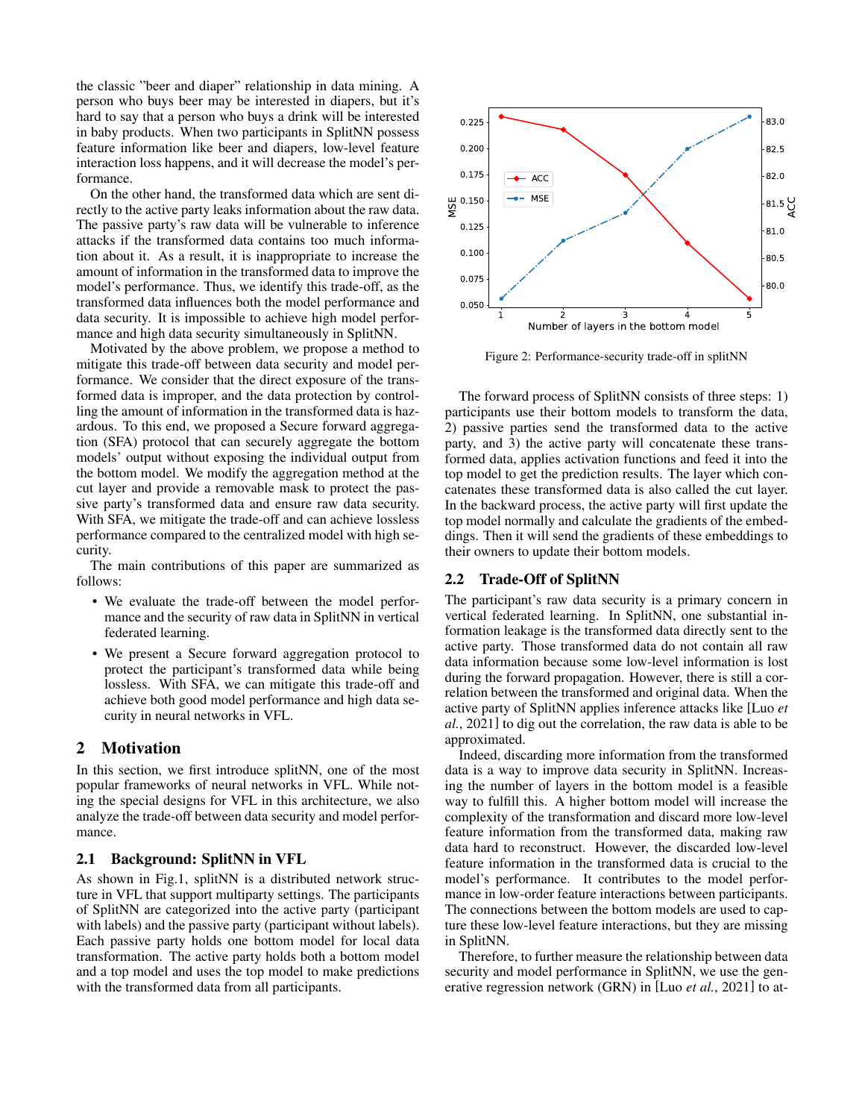the classic "beer and diaper" relationship in data mining. A person who buys beer may be interested in diapers, but it's hard to say that a person who buys a drink will be interested in baby products. When two participants in SplitNN possess feature information like beer and diapers, low-level feature interaction loss happens, and it will decrease the model's performance.

On the other hand, the transformed data which are sent directly to the active party leaks information about the raw data. The passive party's raw data will be vulnerable to inference attacks if the transformed data contains too much information about it. As a result, it is inappropriate to increase the amount of information in the transformed data to improve the model's performance. Thus, we identify this trade-off, as the transformed data influences both the model performance and data security. It is impossible to achieve high model performance and high data security simultaneously in SplitNN.

Motivated by the above problem, we propose a method to mitigate this trade-off between data security and model performance. We consider that the direct exposure of the transformed data is improper, and the data protection by controlling the amount of information in the transformed data is hazardous. To this end, we proposed a Secure forward aggregation (SFA) protocol that can securely aggregate the bottom models' output without exposing the individual output from the bottom model. We modify the aggregation method at the cut layer and provide a removable mask to protect the passive party's transformed data and ensure raw data security. With SFA, we mitigate the trade-off and can achieve lossless performance compared to the centralized model with high security.

The main contributions of this paper are summarized as follows:

- We evaluate the trade-off between the model performance and the security of raw data in SplitNN in vertical federated learning.
- We present a Secure forward aggregation protocol to protect the participant's transformed data while being lossless. With SFA, we can mitigate this trade-off and achieve both good model performance and high data security in neural networks in VFL.

## 2 Motivation

In this section, we first introduce splitNN, one of the most popular frameworks of neural networks in VFL. While noting the special designs for VFL in this architecture, we also analyze the trade-off between data security and model performance.

#### 2.1 Background: SplitNN in VFL

As shown in Fig[.1,](#page-0-0) splitNN is a distributed network structure in VFL that support multiparty settings. The participants of SplitNN are categorized into the active party (participant with labels) and the passive party (participant without labels). Each passive party holds one bottom model for local data transformation. The active party holds both a bottom model and a top model and uses the top model to make predictions with the transformed data from all participants.

<span id="page-1-0"></span>

Figure 2: Performance-security trade-off in splitNN

The forward process of SplitNN consists of three steps: 1) participants use their bottom models to transform the data, 2) passive parties send the transformed data to the active party, and 3) the active party will concatenate these transformed data, applies activation functions and feed it into the top model to get the prediction results. The layer which concatenates these transformed data is also called the cut layer. In the backward process, the active party will first update the top model normally and calculate the gradients of the embeddings. Then it will send the gradients of these embeddings to their owners to update their bottom models.

### 2.2 Trade-Off of SplitNN

The participant's raw data security is a primary concern in vertical federated learning. In SplitNN, one substantial information leakage is the transformed data directly sent to the active party. Those transformed data do not contain all raw data information because some low-level information is lost during the forward propagation. However, there is still a correlation between the transformed and original data. When the active party of SplitNN applies inference attacks like [\[Luo](#page-6-7) *et al.*[, 2021\]](#page-6-7) to dig out the correlation, the raw data is able to be approximated.

Indeed, discarding more information from the transformed data is a way to improve data security in SplitNN. Increasing the number of layers in the bottom model is a feasible way to fulfill this. A higher bottom model will increase the complexity of the transformation and discard more low-level feature information from the transformed data, making raw data hard to reconstruct. However, the discarded low-level feature information in the transformed data is crucial to the model's performance. It contributes to the model performance in low-order feature interactions between participants. The connections between the bottom models are used to capture these low-level feature interactions, but they are missing in SplitNN.

Therefore, to further measure the relationship between data security and model performance in SplitNN, we use the generative regression network (GRN) in [Luo *et al.*[, 2021\]](#page-6-7) to at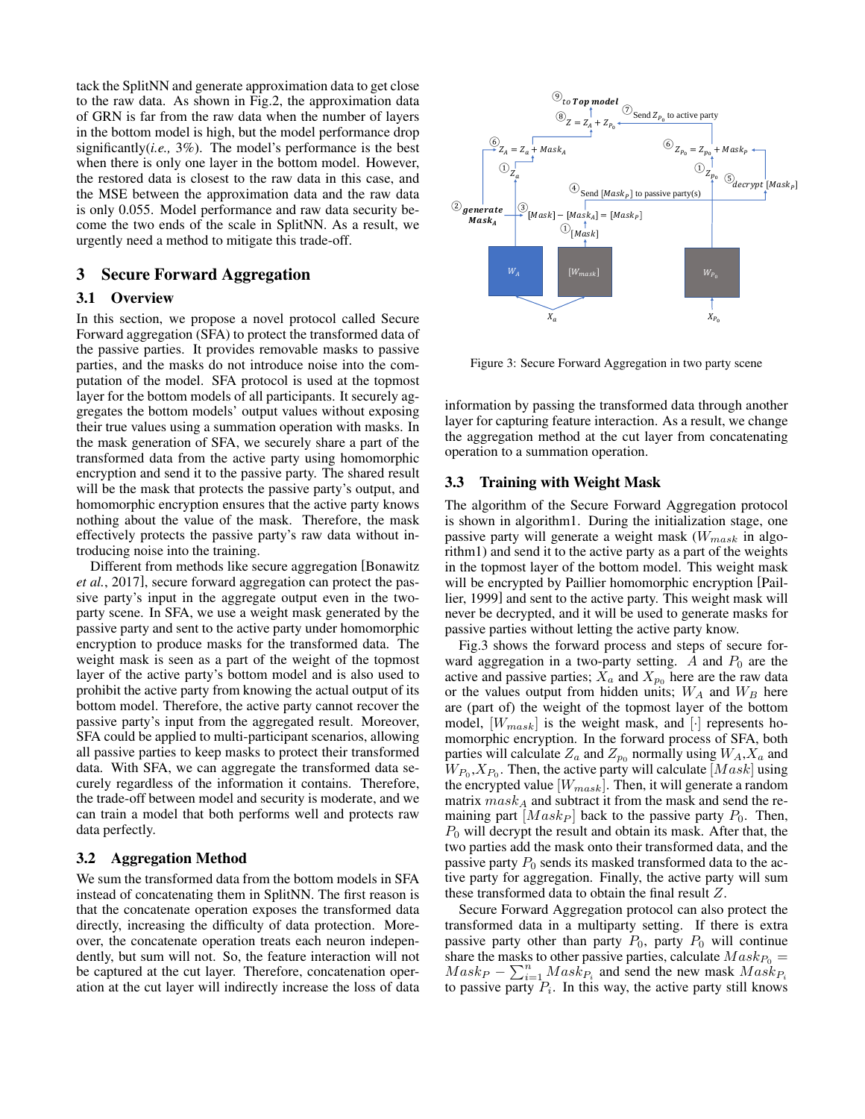tack the SplitNN and generate approximation data to get close to the raw data. As shown in Fig[.2,](#page-1-0) the approximation data of GRN is far from the raw data when the number of layers in the bottom model is high, but the model performance drop significantly(*i.e.,* 3%). The model's performance is the best when there is only one layer in the bottom model. However, the restored data is closest to the raw data in this case, and the MSE between the approximation data and the raw data is only 0.055. Model performance and raw data security become the two ends of the scale in SplitNN. As a result, we urgently need a method to mitigate this trade-off.

# 3 Secure Forward Aggregation

### 3.1 Overview

In this section, we propose a novel protocol called Secure Forward aggregation (SFA) to protect the transformed data of the passive parties. It provides removable masks to passive parties, and the masks do not introduce noise into the computation of the model. SFA protocol is used at the topmost layer for the bottom models of all participants. It securely aggregates the bottom models' output values without exposing their true values using a summation operation with masks. In the mask generation of SFA, we securely share a part of the transformed data from the active party using homomorphic encryption and send it to the passive party. The shared result will be the mask that protects the passive party's output, and homomorphic encryption ensures that the active party knows nothing about the value of the mask. Therefore, the mask effectively protects the passive party's raw data without introducing noise into the training.

Different from methods like secure aggregation [\[Bonawitz](#page-6-8) *et al.*[, 2017\]](#page-6-8), secure forward aggregation can protect the passive party's input in the aggregate output even in the twoparty scene. In SFA, we use a weight mask generated by the passive party and sent to the active party under homomorphic encryption to produce masks for the transformed data. The weight mask is seen as a part of the weight of the topmost layer of the active party's bottom model and is also used to prohibit the active party from knowing the actual output of its bottom model. Therefore, the active party cannot recover the passive party's input from the aggregated result. Moreover, SFA could be applied to multi-participant scenarios, allowing all passive parties to keep masks to protect their transformed data. With SFA, we can aggregate the transformed data securely regardless of the information it contains. Therefore, the trade-off between model and security is moderate, and we can train a model that both performs well and protects raw data perfectly.

# 3.2 Aggregation Method

We sum the transformed data from the bottom models in SFA instead of concatenating them in SplitNN. The first reason is that the concatenate operation exposes the transformed data directly, increasing the difficulty of data protection. Moreover, the concatenate operation treats each neuron independently, but sum will not. So, the feature interaction will not be captured at the cut layer. Therefore, concatenation operation at the cut layer will indirectly increase the loss of data

<span id="page-2-0"></span>

Figure 3: Secure Forward Aggregation in two party scene

information by passing the transformed data through another layer for capturing feature interaction. As a result, we change the aggregation method at the cut layer from concatenating operation to a summation operation.

# 3.3 Training with Weight Mask

The algorithm of the Secure Forward Aggregation protocol is shown in algorith[m1.](#page-3-0) During the initialization stage, one passive party will generate a weight mask  $(W_{mask}$  in algorith[m1\)](#page-3-0) and send it to the active party as a part of the weights in the topmost layer of the bottom model. This weight mask will be encrypted by Paillier homomorphic encryption [\[Pail](#page-6-9)[lier, 1999\]](#page-6-9) and sent to the active party. This weight mask will never be decrypted, and it will be used to generate masks for passive parties without letting the active party know.

Fig[.3](#page-2-0) shows the forward process and steps of secure forward aggregation in a two-party setting. A and  $P_0$  are the active and passive parties;  $\bar{X}_a$  and  $X_{p_0}$  here are the raw data or the values output from hidden units;  $W_A$  and  $W_B$  here are (part of) the weight of the topmost layer of the bottom model,  $[W_{mask}]$  is the weight mask, and  $[\cdot]$  represents homomorphic encryption. In the forward process of SFA, both parties will calculate  $Z_a$  and  $Z_{p_0}$  normally using  $W_A, X_a$  and  $W_{P_0}, X_{P_0}$ . Then, the active party will calculate  $[Mask]$  using the encrypted value  $[W_{mask}]$ . Then, it will generate a random matrix  $mask_A$  and subtract it from the mask and send the remaining part  $[Mask_P]$  back to the passive party  $P_0$ . Then,  $P_0$  will decrypt the result and obtain its mask. After that, the two parties add the mask onto their transformed data, and the passive party  $P_0$  sends its masked transformed data to the active party for aggregation. Finally, the active party will sum these transformed data to obtain the final result Z.

Secure Forward Aggregation protocol can also protect the transformed data in a multiparty setting. If there is extra passive party other than party  $P_0$ , party  $P_0$  will continue share the masks to other passive parties, calculate  $Mask_{P_0} =$  $Mask_P - \sum_{i=1}^{n} Mask_{P_i}$  and send the new mask  $Mask_{P_i}$ to passive party  $P_i$ . In this way, the active party still knows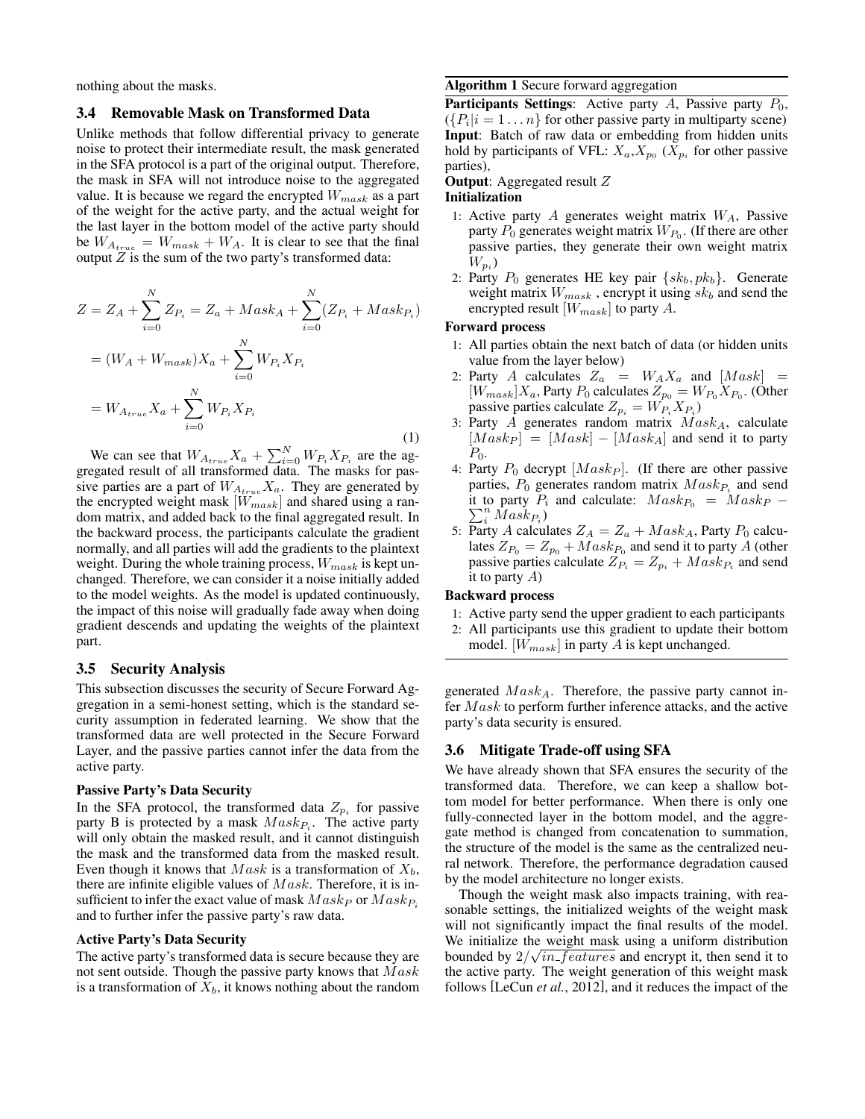nothing about the masks.

#### 3.4 Removable Mask on Transformed Data

Unlike methods that follow differential privacy to generate noise to protect their intermediate result, the mask generated in the SFA protocol is a part of the original output. Therefore, the mask in SFA will not introduce noise to the aggregated value. It is because we regard the encrypted  $W_{mask}$  as a part of the weight for the active party, and the actual weight for the last layer in the bottom model of the active party should be  $W_{A_{true}} = W_{mask} + W_A$ . It is clear to see that the final output  $Z$  is the sum of the two party's transformed data:

$$
Z = Z_A + \sum_{i=0}^{N} Z_{P_i} = Z_a + Mask_A + \sum_{i=0}^{N} (Z_{P_i} + Mask_{P_i})
$$
  
=  $(W_A + W_{mask})X_a + \sum_{i=0}^{N} W_{P_i}X_{P_i}$   
=  $W_{A_{true}}X_a + \sum_{i=0}^{N} W_{P_i}X_{P_i}$  (1)

We can see that  $W_{A_{true}}X_a + \sum_{i=0}^{N} W_{P_i}X_{P_i}$  are the aggregated result of all transformed data. The masks for passive parties are a part of  $W_{A_{true}}X_a$ . They are generated by the encrypted weight mask  $[W_{mask}]$  and shared using a random matrix, and added back to the final aggregated result. In the backward process, the participants calculate the gradient normally, and all parties will add the gradients to the plaintext weight. During the whole training process,  $W_{mask}$  is kept unchanged. Therefore, we can consider it a noise initially added to the model weights. As the model is updated continuously, the impact of this noise will gradually fade away when doing gradient descends and updating the weights of the plaintext part.

### 3.5 Security Analysis

This subsection discusses the security of Secure Forward Aggregation in a semi-honest setting, which is the standard security assumption in federated learning. We show that the transformed data are well protected in the Secure Forward Layer, and the passive parties cannot infer the data from the active party.

#### Passive Party's Data Security

In the SFA protocol, the transformed data  $Z_{p_i}$  for passive party B is protected by a mask  $Mask_{P_i}$ . The active party will only obtain the masked result, and it cannot distinguish the mask and the transformed data from the masked result. Even though it knows that  $Mask$  is a transformation of  $X_b$ , there are infinite eligible values of  $Mask$ . Therefore, it is insufficient to infer the exact value of mask  $Mask_P$  or  $Mask_P$ and to further infer the passive party's raw data.

#### Active Party's Data Security

The active party's transformed data is secure because they are not sent outside. Though the passive party knows that  $Mask$ is a transformation of  $X_b$ , it knows nothing about the random

#### <span id="page-3-0"></span>Algorithm 1 Secure forward aggregation

**Participants Settings:** Active party  $A$ , Passive party  $P_0$ ,  $({P_i} | i = 1...n)$  for other passive party in multiparty scene) Input: Batch of raw data or embedding from hidden units hold by participants of VFL:  $X_a, X_{p_0}$  ( $X_{p_i}$  for other passive parties),

### Output: Aggregated result Z

#### Initialization

- 1: Active party  $A$  generates weight matrix  $W_A$ , Passive party  $P_0$  generates weight matrix  $W_{P_0}$ . (If there are other passive parties, they generate their own weight matrix  $W_{p_i}$
- 2: Party  $P_0$  generates HE key pair  $\{sk_b, pk_b\}$ . Generate weight matrix  $W_{mask}$ , encrypt it using  $sk_b$  and send the encrypted result  $[W_{mask}]$  to party A.

#### Forward process

- 1: All parties obtain the next batch of data (or hidden units value from the layer below)
- 2: Party A calculates  $Z_a = W_A X_a$  and  $[Mask] =$  $[W_{mask}]X_a$ , Party  $P_0$  calculates  $Z_{p_0} = W_{P_0}X_{P_0}$ . (Other passive parties calculate  $Z_{p_i} = W_{P_i} X_{P_i}$ )
- 3: Party  $A$  generates random matrix  $Mask_A$ , calculate  $[Mask_P] = [Mask] - [Mask_A]$  and send it to party  $P_0$ .
- 4: Party  $P_0$  decrypt  $[Mask_P]$ . (If there are other passive parties,  $P_0$  generates random matrix  $Mask_{P_i}$  and send it to party  $P_i$  and calculate:  $Mask_{P_0} = Mask_P \sum_i^n Mass_{P_i}$
- 5: Party A calculates  $Z_A = Z_a + Mask_A$ , Party  $P_0$  calculates  $Z_{P_0} = Z_{p_0} + Mask_{P_0}$  and send it to party A (other passive parties calculate  $Z_{P_i} = Z_{p_i} + Mask_{P_i}$  and send it to party  $A$ )

#### Backward process

- 1: Active party send the upper gradient to each participants
- 2: All participants use this gradient to update their bottom
- model.  $[W_{mask}]$  in party A is kept unchanged.

generated  $Mask_A$ . Therefore, the passive party cannot infer  $Mask$  to perform further inference attacks, and the active party's data security is ensured.

#### 3.6 Mitigate Trade-off using SFA

We have already shown that SFA ensures the security of the transformed data. Therefore, we can keep a shallow bottom model for better performance. When there is only one fully-connected layer in the bottom model, and the aggregate method is changed from concatenation to summation, the structure of the model is the same as the centralized neural network. Therefore, the performance degradation caused by the model architecture no longer exists.

Though the weight mask also impacts training, with reasonable settings, the initialized weights of the weight mask will not significantly impact the final results of the model. We initialize the weight mask using a uniform distribution bounded by  $2/\sqrt{in\_features}$  and encrypt it, then send it to the active party. The weight generation of this weight mask follows [\[LeCun](#page-6-10) *et al.*, 2012], and it reduces the impact of the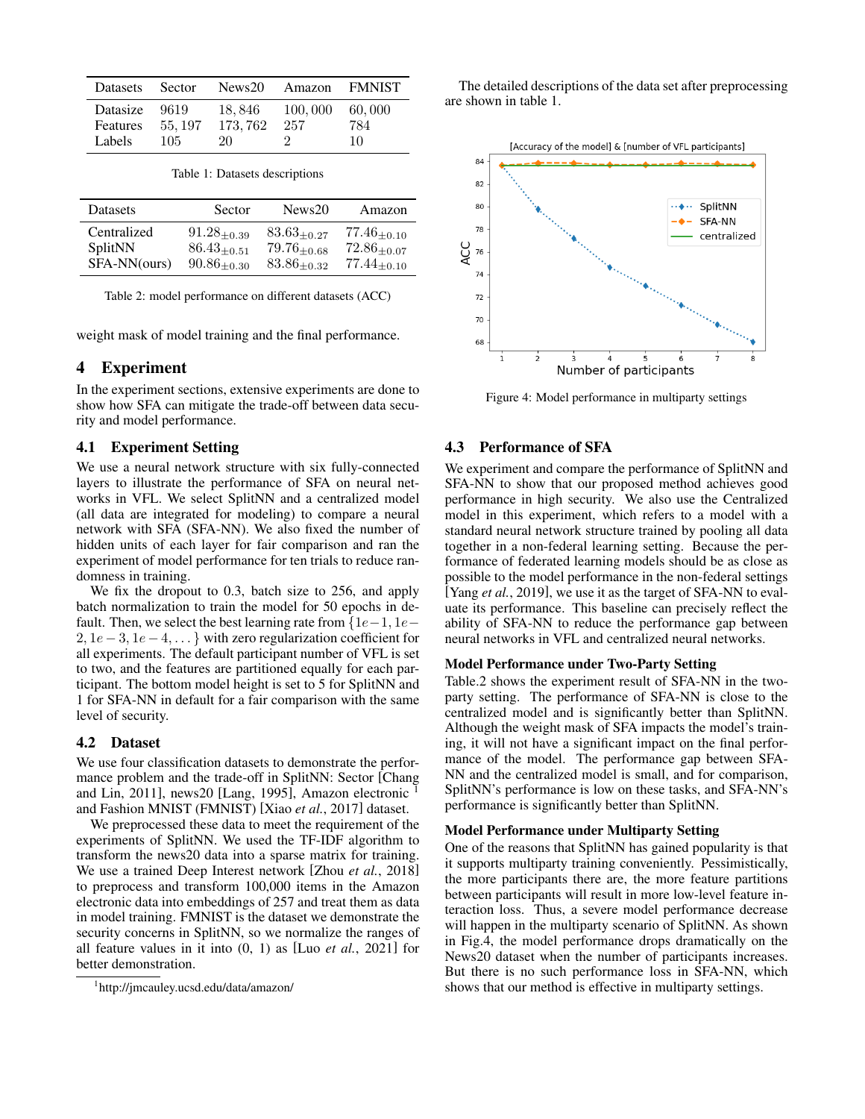<span id="page-4-1"></span>

| <b>Datasets</b>                | Sector                 | News20                   | Amazon         | <b>FMNIST</b>       |
|--------------------------------|------------------------|--------------------------|----------------|---------------------|
| Datasize<br>Features<br>Labels | 9619<br>55, 197<br>105 | 18,846<br>173.762<br>20. | 100,000<br>257 | 60.000<br>784<br>10 |

Table 1: Datasets descriptions

<span id="page-4-2"></span>

| Datasets     | Sector             | News <sub>20</sub> | Amazon             |
|--------------|--------------------|--------------------|--------------------|
| Centralized  | $91.28_{\pm 0.39}$ | $83.63_{\pm 0.27}$ | $77.46_{\pm0.10}$  |
| SplitNN      | $86.43_{\pm 0.51}$ | $79.76_{\pm 0.68}$ | $72.86_{\pm 0.07}$ |
| SFA-NN(ours) | $90.86_{\pm 0.30}$ | $83.86_{\pm 0.32}$ | $77.44_{\pm0.10}$  |

Table 2: model performance on different datasets (ACC)

weight mask of model training and the final performance.

### 4 Experiment

In the experiment sections, extensive experiments are done to show how SFA can mitigate the trade-off between data security and model performance.

### 4.1 Experiment Setting

We use a neural network structure with six fully-connected layers to illustrate the performance of SFA on neural networks in VFL. We select SplitNN and a centralized model (all data are integrated for modeling) to compare a neural network with SFA (SFA-NN). We also fixed the number of hidden units of each layer for fair comparison and ran the experiment of model performance for ten trials to reduce randomness in training.

We fix the dropout to 0.3, batch size to 256, and apply batch normalization to train the model for 50 epochs in default. Then, we select the best learning rate from  $\{1e-1, 1e-$ 2,  $1e-3$ ,  $1e-4$ ,  $\dots$ } with zero regularization coefficient for all experiments. The default participant number of VFL is set to two, and the features are partitioned equally for each participant. The bottom model height is set to 5 for SplitNN and 1 for SFA-NN in default for a fair comparison with the same level of security.

### 4.2 Dataset

We use four classification datasets to demonstrate the performance problem and the trade-off in SplitNN: Sector [\[Chang](#page-6-11) [and Lin, 2011\]](#page-6-11), news20 [\[Lang, 1995\]](#page-6-12), Amazon electronic [1](#page-4-0) and Fashion MNIST (FMNIST) [Xiao *et al.*[, 2017\]](#page-6-13) dataset.

We preprocessed these data to meet the requirement of the experiments of SplitNN. We used the TF-IDF algorithm to transform the news20 data into a sparse matrix for training. We use a trained Deep Interest network [Zhou *et al.*[, 2018\]](#page-6-14) to preprocess and transform 100,000 items in the Amazon electronic data into embeddings of 257 and treat them as data in model training. FMNIST is the dataset we demonstrate the security concerns in SplitNN, so we normalize the ranges of all feature values in it into (0, 1) as [Luo *et al.*[, 2021\]](#page-6-7) for better demonstration.

The detailed descriptions of the data set after preprocessing are shown in table [1.](#page-4-1)



Figure 4: Model performance in multiparty settings

### 4.3 Performance of SFA

We experiment and compare the performance of SplitNN and SFA-NN to show that our proposed method achieves good performance in high security. We also use the Centralized model in this experiment, which refers to a model with a standard neural network structure trained by pooling all data together in a non-federal learning setting. Because the performance of federated learning models should be as close as possible to the model performance in the non-federal settings [Yang *et al.*[, 2019\]](#page-6-1), we use it as the target of SFA-NN to evaluate its performance. This baseline can precisely reflect the ability of SFA-NN to reduce the performance gap between neural networks in VFL and centralized neural networks.

#### Model Performance under Two-Party Setting

Table[.2](#page-4-2) shows the experiment result of SFA-NN in the twoparty setting. The performance of SFA-NN is close to the centralized model and is significantly better than SplitNN. Although the weight mask of SFA impacts the model's training, it will not have a significant impact on the final performance of the model. The performance gap between SFA-NN and the centralized model is small, and for comparison, SplitNN's performance is low on these tasks, and SFA-NN's performance is significantly better than SplitNN.

#### Model Performance under Multiparty Setting

One of the reasons that SplitNN has gained popularity is that it supports multiparty training conveniently. Pessimistically, the more participants there are, the more feature partitions between participants will result in more low-level feature interaction loss. Thus, a severe model performance decrease will happen in the multiparty scenario of SplitNN. As shown in Fig.4, the model performance drops dramatically on the News20 dataset when the number of participants increases. But there is no such performance loss in SFA-NN, which shows that our method is effective in multiparty settings.

<span id="page-4-0"></span><sup>1</sup> <http://jmcauley.ucsd.edu/data/amazon/>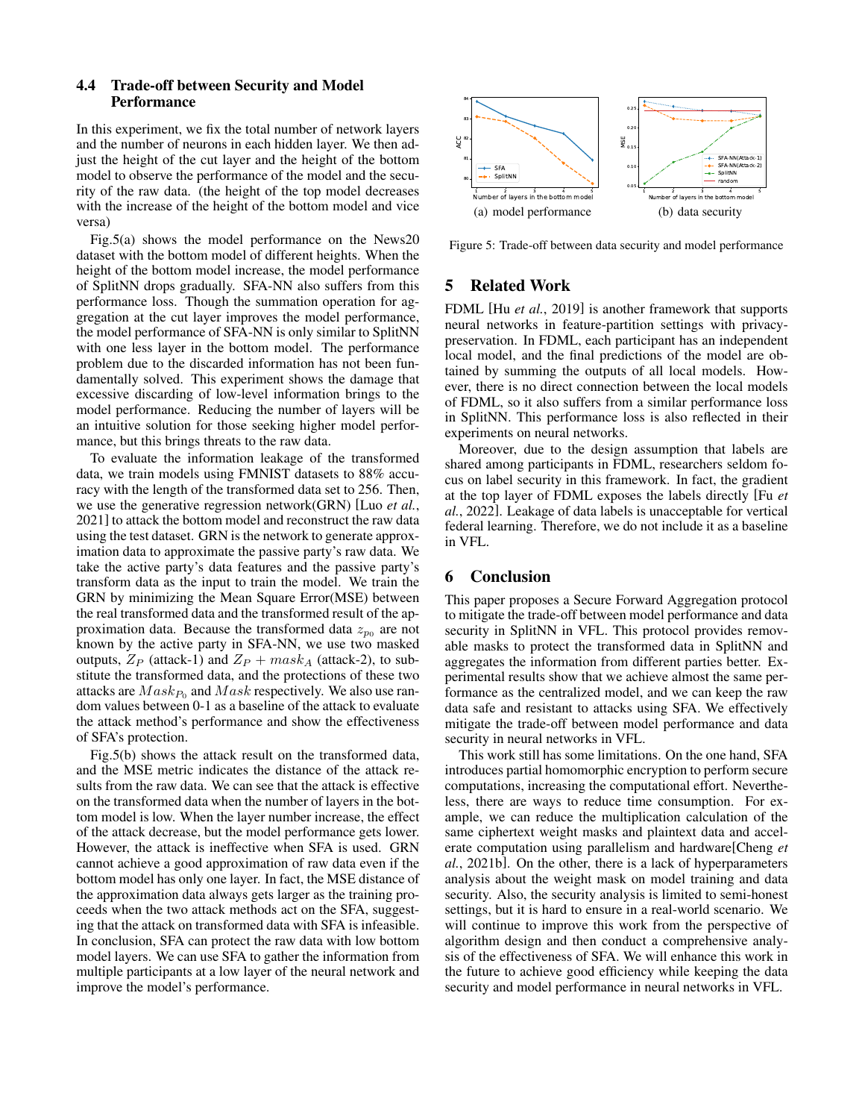## 4.4 Trade-off between Security and Model **Performance**

In this experiment, we fix the total number of network layers and the number of neurons in each hidden layer. We then adjust the height of the cut layer and the height of the bottom model to observe the performance of the model and the security of the raw data. (the height of the top model decreases with the increase of the height of the bottom model and vice versa)

Fig[.5\(a\)](#page-5-0) shows the model performance on the News20 dataset with the bottom model of different heights. When the height of the bottom model increase, the model performance of SplitNN drops gradually. SFA-NN also suffers from this performance loss. Though the summation operation for aggregation at the cut layer improves the model performance, the model performance of SFA-NN is only similar to SplitNN with one less layer in the bottom model. The performance problem due to the discarded information has not been fundamentally solved. This experiment shows the damage that excessive discarding of low-level information brings to the model performance. Reducing the number of layers will be an intuitive solution for those seeking higher model performance, but this brings threats to the raw data.

To evaluate the information leakage of the transformed data, we train models using FMNIST datasets to 88% accuracy with the length of the transformed data set to 256. Then, we use the generative regression network(GRN) [Luo *[et al.](#page-6-7)*, [2021\]](#page-6-7) to attack the bottom model and reconstruct the raw data using the test dataset. GRN is the network to generate approximation data to approximate the passive party's raw data. We take the active party's data features and the passive party's transform data as the input to train the model. We train the GRN by minimizing the Mean Square Error(MSE) between the real transformed data and the transformed result of the approximation data. Because the transformed data  $z_{p0}$  are not known by the active party in SFA-NN, we use two masked outputs,  $Z_P$  (attack-1) and  $Z_P + mask_A$  (attack-2), to substitute the transformed data, and the protections of these two attacks are  $Mask_{P_0}$  and  $Mask$  respectively. We also use random values between 0-1 as a baseline of the attack to evaluate the attack method's performance and show the effectiveness of SFA's protection.

Fig[.5\(b\)](#page-5-1) shows the attack result on the transformed data, and the MSE metric indicates the distance of the attack results from the raw data. We can see that the attack is effective on the transformed data when the number of layers in the bottom model is low. When the layer number increase, the effect of the attack decrease, but the model performance gets lower. However, the attack is ineffective when SFA is used. GRN cannot achieve a good approximation of raw data even if the bottom model has only one layer. In fact, the MSE distance of the approximation data always gets larger as the training proceeds when the two attack methods act on the SFA, suggesting that the attack on transformed data with SFA is infeasible. In conclusion, SFA can protect the raw data with low bottom model layers. We can use SFA to gather the information from multiple participants at a low layer of the neural network and improve the model's performance.

<span id="page-5-0"></span>

<span id="page-5-1"></span>Figure 5: Trade-off between data security and model performance

## 5 Related Work

FDML [Hu *et al.*[, 2019\]](#page-6-15) is another framework that supports neural networks in feature-partition settings with privacypreservation. In FDML, each participant has an independent local model, and the final predictions of the model are obtained by summing the outputs of all local models. However, there is no direct connection between the local models of FDML, so it also suffers from a similar performance loss in SplitNN. This performance loss is also reflected in their experiments on neural networks.

Moreover, due to the design assumption that labels are shared among participants in FDML, researchers seldom focus on label security in this framework. In fact, the gradient at the top layer of FDML exposes the labels directly [\[Fu](#page-6-16) *et al.*[, 2022\]](#page-6-16). Leakage of data labels is unacceptable for vertical federal learning. Therefore, we do not include it as a baseline in VFL.

# 6 Conclusion

This paper proposes a Secure Forward Aggregation protocol to mitigate the trade-off between model performance and data security in SplitNN in VFL. This protocol provides removable masks to protect the transformed data in SplitNN and aggregates the information from different parties better. Experimental results show that we achieve almost the same performance as the centralized model, and we can keep the raw data safe and resistant to attacks using SFA. We effectively mitigate the trade-off between model performance and data security in neural networks in VFL.

This work still has some limitations. On the one hand, SFA introduces partial homomorphic encryption to perform secure computations, increasing the computational effort. Nevertheless, there are ways to reduce time consumption. For example, we can reduce the multiplication calculation of the same ciphertext weight masks and plaintext data and accelerate computation using parallelism and hardware[\[Cheng](#page-6-17) *et al.*[, 2021b\]](#page-6-17). On the other, there is a lack of hyperparameters analysis about the weight mask on model training and data security. Also, the security analysis is limited to semi-honest settings, but it is hard to ensure in a real-world scenario. We will continue to improve this work from the perspective of algorithm design and then conduct a comprehensive analysis of the effectiveness of SFA. We will enhance this work in the future to achieve good efficiency while keeping the data security and model performance in neural networks in VFL.